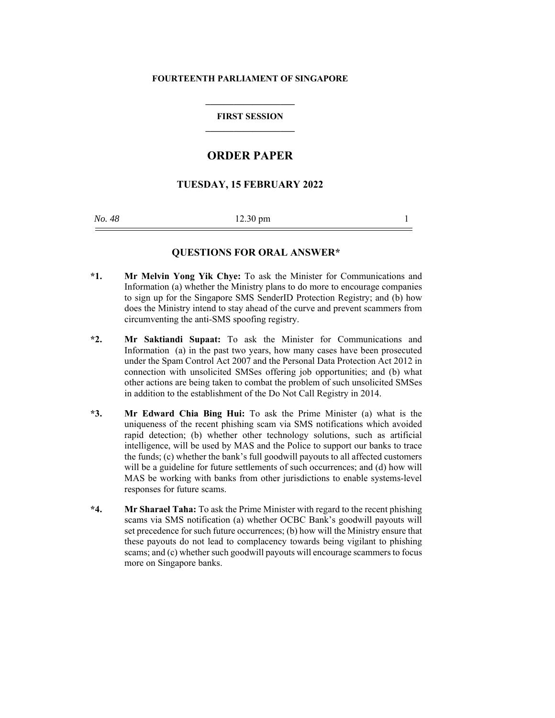#### **FOURTEENTH PARLIAMENT OF SINGAPORE**

### **FIRST SESSION \_\_\_\_\_\_\_\_\_\_\_\_\_\_\_\_\_\_\_**

# **ORDER PAPER**

## **TUESDAY, 15 FEBRUARY 2022**

*No.* 48 **12.30 pm** 1

### **QUESTIONS FOR ORAL ANSWER\***

- **\*1. Mr Melvin Yong Yik Chye:** To ask the Minister for Communications and Information (a) whether the Ministry plans to do more to encourage companies to sign up for the Singapore SMS SenderID Protection Registry; and (b) how does the Ministry intend to stay ahead of the curve and prevent scammers from circumventing the anti-SMS spoofing registry.
- **\*2. Mr Saktiandi Supaat:** To ask the Minister for Communications and Information (a) in the past two years, how many cases have been prosecuted under the Spam Control Act 2007 and the Personal Data Protection Act 2012 in connection with unsolicited SMSes offering job opportunities; and (b) what other actions are being taken to combat the problem of such unsolicited SMSes in addition to the establishment of the Do Not Call Registry in 2014.
- **\*3. Mr Edward Chia Bing Hui:** To ask the Prime Minister (a) what is the uniqueness of the recent phishing scam via SMS notifications which avoided rapid detection; (b) whether other technology solutions, such as artificial intelligence, will be used by MAS and the Police to support our banks to trace the funds; (c) whether the bank's full goodwill payouts to all affected customers will be a guideline for future settlements of such occurrences; and (d) how will MAS be working with banks from other jurisdictions to enable systems-level responses for future scams.
- **\*4. Mr Sharael Taha:** To ask the Prime Minister with regard to the recent phishing scams via SMS notification (a) whether OCBC Bank's goodwill payouts will set precedence for such future occurrences; (b) how will the Ministry ensure that these payouts do not lead to complacency towards being vigilant to phishing scams; and (c) whether such goodwill payouts will encourage scammers to focus more on Singapore banks.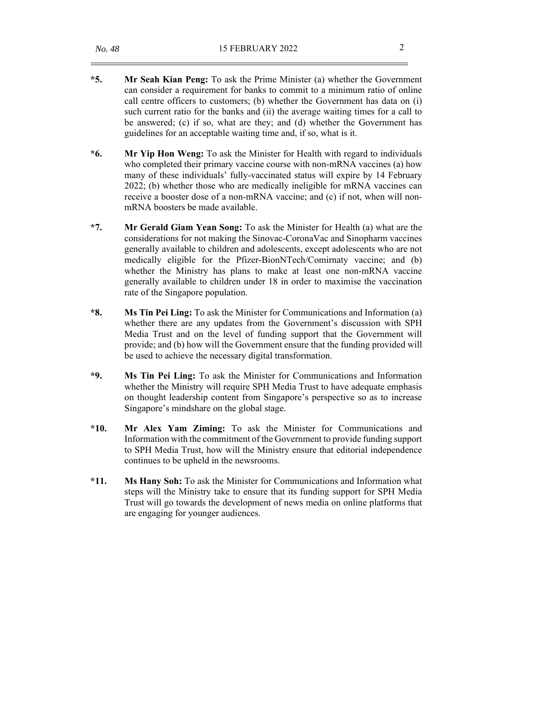- **\*5. Mr Seah Kian Peng:** To ask the Prime Minister (a) whether the Government can consider a requirement for banks to commit to a minimum ratio of online call centre officers to customers; (b) whether the Government has data on (i) such current ratio for the banks and (ii) the average waiting times for a call to be answered; (c) if so, what are they; and (d) whether the Government has guidelines for an acceptable waiting time and, if so, what is it.
- **\*6. Mr Yip Hon Weng:** To ask the Minister for Health with regard to individuals who completed their primary vaccine course with non-mRNA vaccines (a) how many of these individuals' fully-vaccinated status will expire by 14 February 2022; (b) whether those who are medically ineligible for mRNA vaccines can receive a booster dose of a non-mRNA vaccine; and (c) if not, when will nonmRNA boosters be made available.
- **\*7. Mr Gerald Giam Yean Song:** To ask the Minister for Health (a) what are the considerations for not making the Sinovac-CoronaVac and Sinopharm vaccines generally available to children and adolescents, except adolescents who are not medically eligible for the Pfizer-BionNTech/Comirnaty vaccine; and (b) whether the Ministry has plans to make at least one non-mRNA vaccine generally available to children under 18 in order to maximise the vaccination rate of the Singapore population.
- **\*8. Ms Tin Pei Ling:** To ask the Minister for Communications and Information (a) whether there are any updates from the Government's discussion with SPH Media Trust and on the level of funding support that the Government will provide; and (b) how will the Government ensure that the funding provided will be used to achieve the necessary digital transformation.
- **\*9. Ms Tin Pei Ling:** To ask the Minister for Communications and Information whether the Ministry will require SPH Media Trust to have adequate emphasis on thought leadership content from Singapore's perspective so as to increase Singapore's mindshare on the global stage.
- **\*10. Mr Alex Yam Ziming:** To ask the Minister for Communications and Information with the commitment of the Government to provide funding support to SPH Media Trust, how will the Ministry ensure that editorial independence continues to be upheld in the newsrooms.
- **\*11. Ms Hany Soh:** To ask the Minister for Communications and Information what steps will the Ministry take to ensure that its funding support for SPH Media Trust will go towards the development of news media on online platforms that are engaging for younger audiences.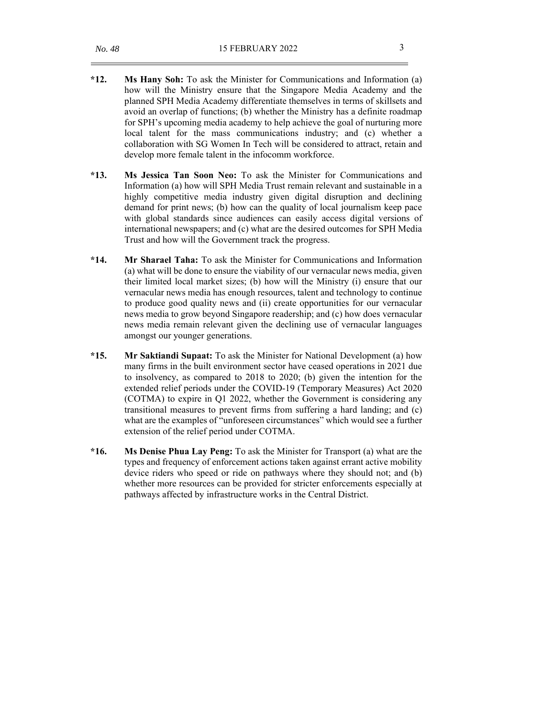- **\*12. Ms Hany Soh:** To ask the Minister for Communications and Information (a) how will the Ministry ensure that the Singapore Media Academy and the planned SPH Media Academy differentiate themselves in terms of skillsets and avoid an overlap of functions; (b) whether the Ministry has a definite roadmap for SPH's upcoming media academy to help achieve the goal of nurturing more local talent for the mass communications industry; and (c) whether a collaboration with SG Women In Tech will be considered to attract, retain and develop more female talent in the infocomm workforce.
- **\*13. Ms Jessica Tan Soon Neo:** To ask the Minister for Communications and Information (a) how will SPH Media Trust remain relevant and sustainable in a highly competitive media industry given digital disruption and declining demand for print news; (b) how can the quality of local journalism keep pace with global standards since audiences can easily access digital versions of international newspapers; and (c) what are the desired outcomes for SPH Media Trust and how will the Government track the progress.
- **\*14. Mr Sharael Taha:** To ask the Minister for Communications and Information (a) what will be done to ensure the viability of our vernacular news media, given their limited local market sizes; (b) how will the Ministry (i) ensure that our vernacular news media has enough resources, talent and technology to continue to produce good quality news and (ii) create opportunities for our vernacular news media to grow beyond Singapore readership; and (c) how does vernacular news media remain relevant given the declining use of vernacular languages amongst our younger generations.
- **\*15. Mr Saktiandi Supaat:** To ask the Minister for National Development (a) how many firms in the built environment sector have ceased operations in 2021 due to insolvency, as compared to 2018 to 2020; (b) given the intention for the extended relief periods under the COVID-19 (Temporary Measures) Act 2020 (COTMA) to expire in Q1 2022, whether the Government is considering any transitional measures to prevent firms from suffering a hard landing; and (c) what are the examples of "unforeseen circumstances" which would see a further extension of the relief period under COTMA.
- **\*16. Ms Denise Phua Lay Peng:** To ask the Minister for Transport (a) what are the types and frequency of enforcement actions taken against errant active mobility device riders who speed or ride on pathways where they should not; and (b) whether more resources can be provided for stricter enforcements especially at pathways affected by infrastructure works in the Central District.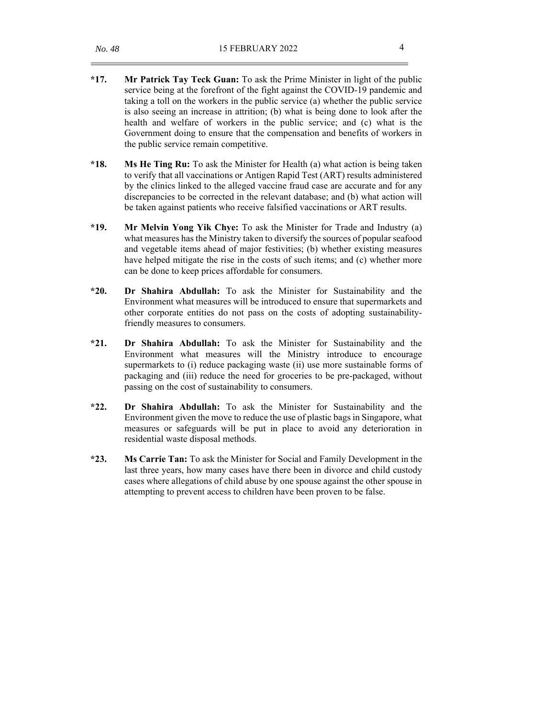- **\*17. Mr Patrick Tay Teck Guan:** To ask the Prime Minister in light of the public service being at the forefront of the fight against the COVID-19 pandemic and taking a toll on the workers in the public service (a) whether the public service is also seeing an increase in attrition; (b) what is being done to look after the health and welfare of workers in the public service; and (c) what is the Government doing to ensure that the compensation and benefits of workers in the public service remain competitive.
- **\*18. Ms He Ting Ru:** To ask the Minister for Health (a) what action is being taken to verify that all vaccinations or Antigen Rapid Test (ART) results administered by the clinics linked to the alleged vaccine fraud case are accurate and for any discrepancies to be corrected in the relevant database; and (b) what action will be taken against patients who receive falsified vaccinations or ART results.
- **\*19. Mr Melvin Yong Yik Chye:** To ask the Minister for Trade and Industry (a) what measures has the Ministry taken to diversify the sources of popular seafood and vegetable items ahead of major festivities; (b) whether existing measures have helped mitigate the rise in the costs of such items; and (c) whether more can be done to keep prices affordable for consumers.
- **\*20. Dr Shahira Abdullah:** To ask the Minister for Sustainability and the Environment what measures will be introduced to ensure that supermarkets and other corporate entities do not pass on the costs of adopting sustainabilityfriendly measures to consumers.
- **\*21. Dr Shahira Abdullah:** To ask the Minister for Sustainability and the Environment what measures will the Ministry introduce to encourage supermarkets to (i) reduce packaging waste (ii) use more sustainable forms of packaging and (iii) reduce the need for groceries to be pre-packaged, without passing on the cost of sustainability to consumers.
- **\*22. Dr Shahira Abdullah:** To ask the Minister for Sustainability and the Environment given the move to reduce the use of plastic bags in Singapore, what measures or safeguards will be put in place to avoid any deterioration in residential waste disposal methods.
- **\*23. Ms Carrie Tan:** To ask the Minister for Social and Family Development in the last three years, how many cases have there been in divorce and child custody cases where allegations of child abuse by one spouse against the other spouse in attempting to prevent access to children have been proven to be false.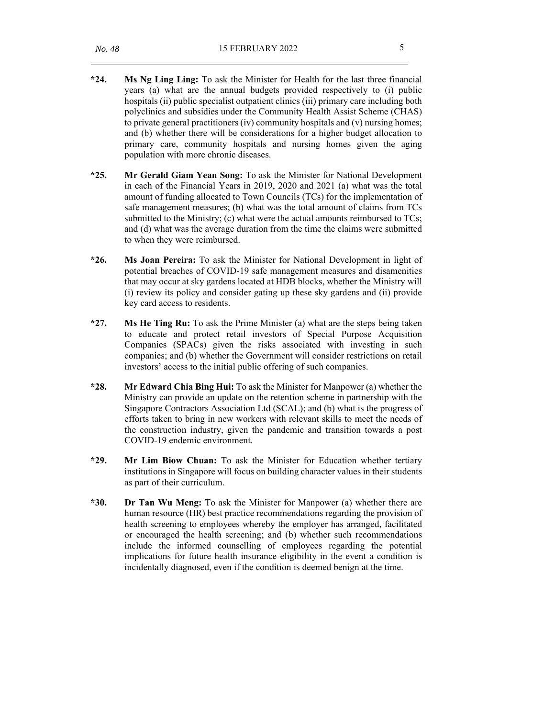- **\*24. Ms Ng Ling Ling:** To ask the Minister for Health for the last three financial years (a) what are the annual budgets provided respectively to (i) public hospitals (ii) public specialist outpatient clinics (iii) primary care including both polyclinics and subsidies under the Community Health Assist Scheme (CHAS) to private general practitioners (iv) community hospitals and (v) nursing homes; and (b) whether there will be considerations for a higher budget allocation to primary care, community hospitals and nursing homes given the aging population with more chronic diseases.
- **\*25. Mr Gerald Giam Yean Song:** To ask the Minister for National Development in each of the Financial Years in 2019, 2020 and 2021 (a) what was the total amount of funding allocated to Town Councils (TCs) for the implementation of safe management measures; (b) what was the total amount of claims from TCs submitted to the Ministry; (c) what were the actual amounts reimbursed to TCs; and (d) what was the average duration from the time the claims were submitted to when they were reimbursed.
- **\*26. Ms Joan Pereira:** To ask the Minister for National Development in light of potential breaches of COVID-19 safe management measures and disamenities that may occur at sky gardens located at HDB blocks, whether the Ministry will (i) review its policy and consider gating up these sky gardens and (ii) provide key card access to residents.
- **\*27. Ms He Ting Ru:** To ask the Prime Minister (a) what are the steps being taken to educate and protect retail investors of Special Purpose Acquisition Companies (SPACs) given the risks associated with investing in such companies; and (b) whether the Government will consider restrictions on retail investors' access to the initial public offering of such companies.
- **\*28. Mr Edward Chia Bing Hui:** To ask the Minister for Manpower (a) whether the Ministry can provide an update on the retention scheme in partnership with the Singapore Contractors Association Ltd (SCAL); and (b) what is the progress of efforts taken to bring in new workers with relevant skills to meet the needs of the construction industry, given the pandemic and transition towards a post COVID-19 endemic environment.
- **\*29. Mr Lim Biow Chuan:** To ask the Minister for Education whether tertiary institutions in Singapore will focus on building character values in their students as part of their curriculum.
- **\*30. Dr Tan Wu Meng:** To ask the Minister for Manpower (a) whether there are human resource (HR) best practice recommendations regarding the provision of health screening to employees whereby the employer has arranged, facilitated or encouraged the health screening; and (b) whether such recommendations include the informed counselling of employees regarding the potential implications for future health insurance eligibility in the event a condition is incidentally diagnosed, even if the condition is deemed benign at the time.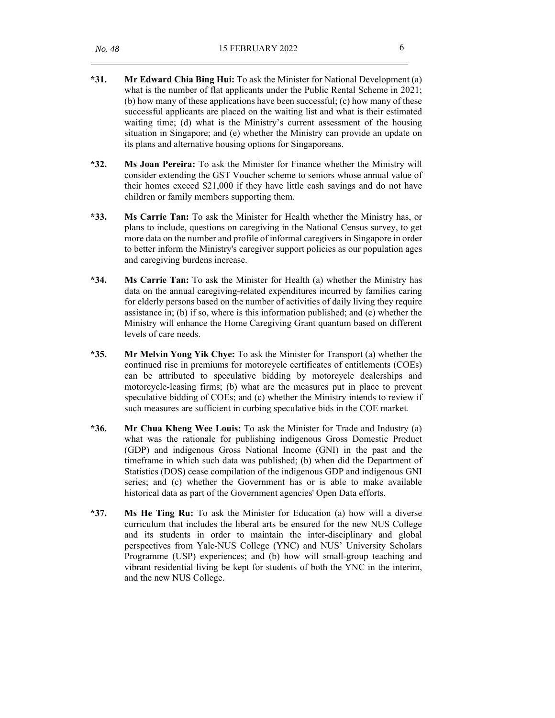- **\*31. Mr Edward Chia Bing Hui:** To ask the Minister for National Development (a) what is the number of flat applicants under the Public Rental Scheme in 2021; (b) how many of these applications have been successful; (c) how many of these successful applicants are placed on the waiting list and what is their estimated waiting time; (d) what is the Ministry's current assessment of the housing situation in Singapore; and (e) whether the Ministry can provide an update on its plans and alternative housing options for Singaporeans.
- **\*32. Ms Joan Pereira:** To ask the Minister for Finance whether the Ministry will consider extending the GST Voucher scheme to seniors whose annual value of their homes exceed \$21,000 if they have little cash savings and do not have children or family members supporting them.
- **\*33. Ms Carrie Tan:** To ask the Minister for Health whether the Ministry has, or plans to include, questions on caregiving in the National Census survey, to get more data on the number and profile of informal caregivers in Singapore in order to better inform the Ministry's caregiver support policies as our population ages and caregiving burdens increase.
- **\*34. Ms Carrie Tan:** To ask the Minister for Health (a) whether the Ministry has data on the annual caregiving-related expenditures incurred by families caring for elderly persons based on the number of activities of daily living they require assistance in; (b) if so, where is this information published; and (c) whether the Ministry will enhance the Home Caregiving Grant quantum based on different levels of care needs.
- **\*35. Mr Melvin Yong Yik Chye:** To ask the Minister for Transport (a) whether the continued rise in premiums for motorcycle certificates of entitlements (COEs) can be attributed to speculative bidding by motorcycle dealerships and motorcycle-leasing firms; (b) what are the measures put in place to prevent speculative bidding of COEs; and (c) whether the Ministry intends to review if such measures are sufficient in curbing speculative bids in the COE market.
- **\*36. Mr Chua Kheng Wee Louis:** To ask the Minister for Trade and Industry (a) what was the rationale for publishing indigenous Gross Domestic Product (GDP) and indigenous Gross National Income (GNI) in the past and the timeframe in which such data was published; (b) when did the Department of Statistics (DOS) cease compilation of the indigenous GDP and indigenous GNI series; and (c) whether the Government has or is able to make available historical data as part of the Government agencies' Open Data efforts.
- **\*37. Ms He Ting Ru:** To ask the Minister for Education (a) how will a diverse curriculum that includes the liberal arts be ensured for the new NUS College and its students in order to maintain the inter-disciplinary and global perspectives from Yale-NUS College (YNC) and NUS' University Scholars Programme (USP) experiences; and (b) how will small-group teaching and vibrant residential living be kept for students of both the YNC in the interim, and the new NUS College.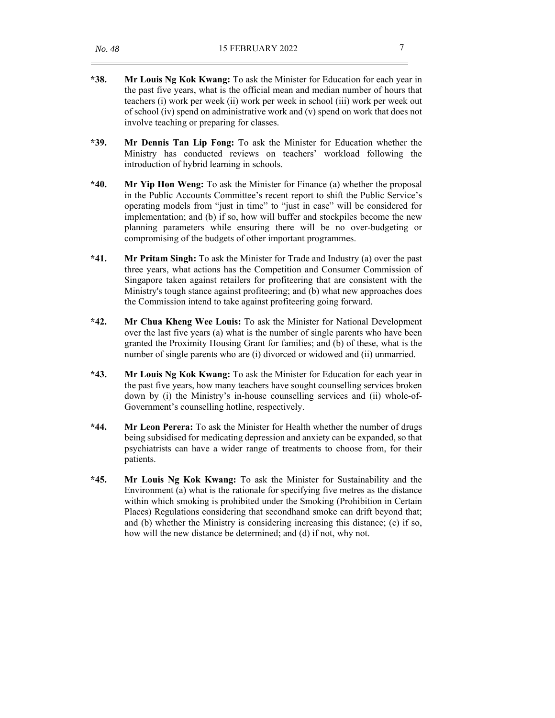- **\*38. Mr Louis Ng Kok Kwang:** To ask the Minister for Education for each year in the past five years, what is the official mean and median number of hours that teachers (i) work per week (ii) work per week in school (iii) work per week out of school (iv) spend on administrative work and (v) spend on work that does not involve teaching or preparing for classes.
- **\*39. Mr Dennis Tan Lip Fong:** To ask the Minister for Education whether the Ministry has conducted reviews on teachers' workload following the introduction of hybrid learning in schools.
- **\*40. Mr Yip Hon Weng:** To ask the Minister for Finance (a) whether the proposal in the Public Accounts Committee's recent report to shift the Public Service's operating models from "just in time" to "just in case" will be considered for implementation; and (b) if so, how will buffer and stockpiles become the new planning parameters while ensuring there will be no over-budgeting or compromising of the budgets of other important programmes.
- **\*41. Mr Pritam Singh:** To ask the Minister for Trade and Industry (a) over the past three years, what actions has the Competition and Consumer Commission of Singapore taken against retailers for profiteering that are consistent with the Ministry's tough stance against profiteering; and (b) what new approaches does the Commission intend to take against profiteering going forward.
- **\*42. Mr Chua Kheng Wee Louis:** To ask the Minister for National Development over the last five years (a) what is the number of single parents who have been granted the Proximity Housing Grant for families; and (b) of these, what is the number of single parents who are (i) divorced or widowed and (ii) unmarried.
- **\*43. Mr Louis Ng Kok Kwang:** To ask the Minister for Education for each year in the past five years, how many teachers have sought counselling services broken down by (i) the Ministry's in-house counselling services and (ii) whole-of-Government's counselling hotline, respectively.
- **\*44. Mr Leon Perera:** To ask the Minister for Health whether the number of drugs being subsidised for medicating depression and anxiety can be expanded, so that psychiatrists can have a wider range of treatments to choose from, for their patients.
- **\*45. Mr Louis Ng Kok Kwang:** To ask the Minister for Sustainability and the Environment (a) what is the rationale for specifying five metres as the distance within which smoking is prohibited under the Smoking (Prohibition in Certain Places) Regulations considering that secondhand smoke can drift beyond that; and (b) whether the Ministry is considering increasing this distance; (c) if so, how will the new distance be determined; and (d) if not, why not.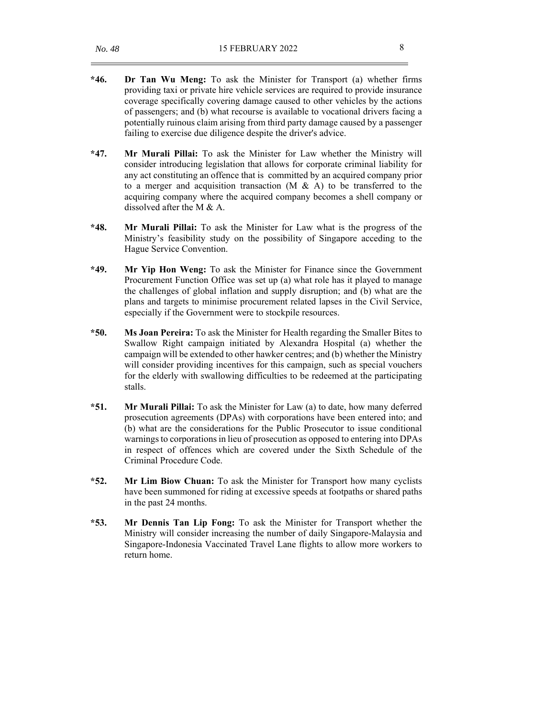- **\*46. Dr Tan Wu Meng:** To ask the Minister for Transport (a) whether firms providing taxi or private hire vehicle services are required to provide insurance coverage specifically covering damage caused to other vehicles by the actions of passengers; and (b) what recourse is available to vocational drivers facing a potentially ruinous claim arising from third party damage caused by a passenger failing to exercise due diligence despite the driver's advice.
- **\*47. Mr Murali Pillai:** To ask the Minister for Law whether the Ministry will consider introducing legislation that allows for corporate criminal liability for any act constituting an offence that is committed by an acquired company prior to a merger and acquisition transaction  $(M & A)$  to be transferred to the acquiring company where the acquired company becomes a shell company or dissolved after the M & A.
- **\*48. Mr Murali Pillai:** To ask the Minister for Law what is the progress of the Ministry's feasibility study on the possibility of Singapore acceding to the Hague Service Convention.
- **\*49. Mr Yip Hon Weng:** To ask the Minister for Finance since the Government Procurement Function Office was set up (a) what role has it played to manage the challenges of global inflation and supply disruption; and (b) what are the plans and targets to minimise procurement related lapses in the Civil Service, especially if the Government were to stockpile resources.
- **\*50. Ms Joan Pereira:** To ask the Minister for Health regarding the Smaller Bites to Swallow Right campaign initiated by Alexandra Hospital (a) whether the campaign will be extended to other hawker centres; and (b) whether the Ministry will consider providing incentives for this campaign, such as special vouchers for the elderly with swallowing difficulties to be redeemed at the participating stalls.
- **\*51. Mr Murali Pillai:** To ask the Minister for Law (a) to date, how many deferred prosecution agreements (DPAs) with corporations have been entered into; and (b) what are the considerations for the Public Prosecutor to issue conditional warnings to corporations in lieu of prosecution as opposed to entering into DPAs in respect of offences which are covered under the Sixth Schedule of the Criminal Procedure Code.
- **\*52. Mr Lim Biow Chuan:** To ask the Minister for Transport how many cyclists have been summoned for riding at excessive speeds at footpaths or shared paths in the past 24 months.
- **\*53. Mr Dennis Tan Lip Fong:** To ask the Minister for Transport whether the Ministry will consider increasing the number of daily Singapore-Malaysia and Singapore-Indonesia Vaccinated Travel Lane flights to allow more workers to return home.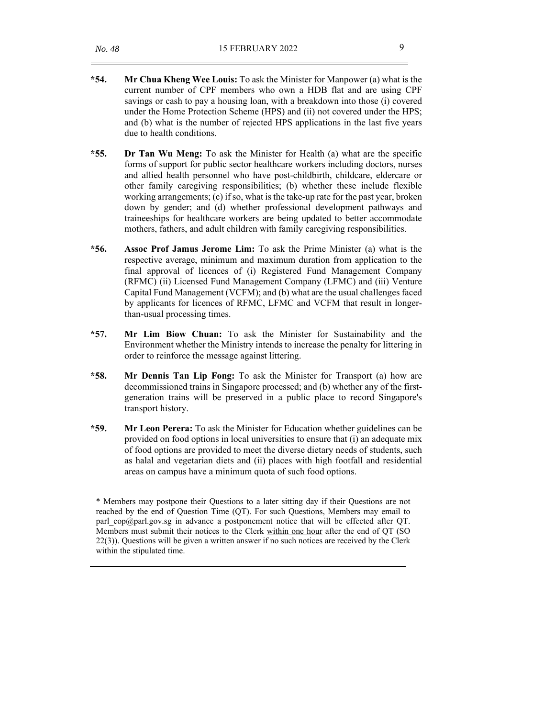- **\*54. Mr Chua Kheng Wee Louis:** To ask the Minister for Manpower (a) what is the current number of CPF members who own a HDB flat and are using CPF savings or cash to pay a housing loan, with a breakdown into those (i) covered under the Home Protection Scheme (HPS) and (ii) not covered under the HPS; and (b) what is the number of rejected HPS applications in the last five years due to health conditions.
- **\*55. Dr Tan Wu Meng:** To ask the Minister for Health (a) what are the specific forms of support for public sector healthcare workers including doctors, nurses and allied health personnel who have post-childbirth, childcare, eldercare or other family caregiving responsibilities; (b) whether these include flexible working arrangements; (c) if so, what is the take-up rate for the past year, broken down by gender; and (d) whether professional development pathways and traineeships for healthcare workers are being updated to better accommodate mothers, fathers, and adult children with family caregiving responsibilities.
- **\*56. Assoc Prof Jamus Jerome Lim:** To ask the Prime Minister (a) what is the respective average, minimum and maximum duration from application to the final approval of licences of (i) Registered Fund Management Company (RFMC) (ii) Licensed Fund Management Company (LFMC) and (iii) Venture Capital Fund Management (VCFM); and (b) what are the usual challenges faced by applicants for licences of RFMC, LFMC and VCFM that result in longerthan-usual processing times.
- **\*57. Mr Lim Biow Chuan:** To ask the Minister for Sustainability and the Environment whether the Ministry intends to increase the penalty for littering in order to reinforce the message against littering.
- **\*58. Mr Dennis Tan Lip Fong:** To ask the Minister for Transport (a) how are decommissioned trains in Singapore processed; and (b) whether any of the firstgeneration trains will be preserved in a public place to record Singapore's transport history.
- **\*59. Mr Leon Perera:** To ask the Minister for Education whether guidelines can be provided on food options in local universities to ensure that (i) an adequate mix of food options are provided to meet the diverse dietary needs of students, such as halal and vegetarian diets and (ii) places with high footfall and residential areas on campus have a minimum quota of such food options.

\* Members may postpone their Questions to a later sitting day if their Questions are not reached by the end of Question Time (QT). For such Questions, Members may email to parl cop@parl.gov.sg in advance a postponement notice that will be effected after QT. Members must submit their notices to the Clerk within one hour after the end of QT (SO 22(3)). Questions will be given a written answer if no such notices are received by the Clerk within the stipulated time.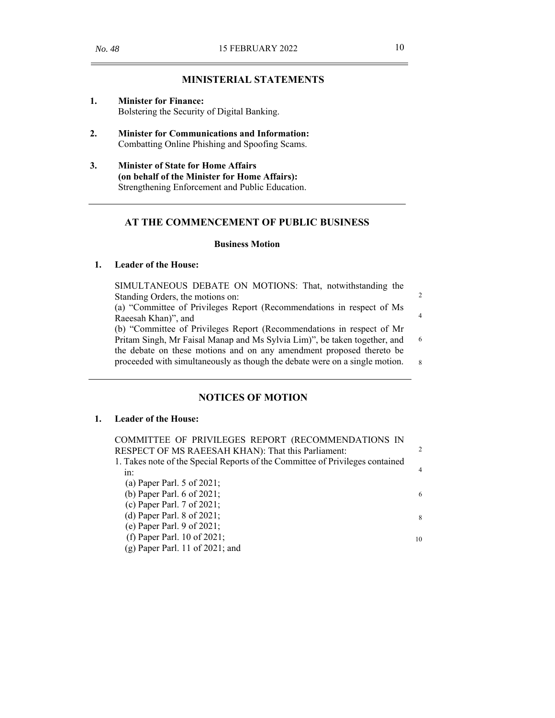# **MINISTERIAL STATEMENTS**

- **1. Minister for Finance:** Bolstering the Security of Digital Banking.
- **2. Minister for Communications and Information:** Combatting Online Phishing and Spoofing Scams.
- **3. Minister of State for Home Affairs (on behalf of the Minister for Home Affairs):** Strengthening Enforcement and Public Education.

### **AT THE COMMENCEMENT OF PUBLIC BUSINESS**

#### **Business Motion**

## **1. Leader of the House:**

SIMULTANEOUS DEBATE ON MOTIONS: That, notwithstanding the Standing Orders, the motions on: (a) "Committee of Privileges Report (Recommendations in respect of Ms Raeesah Khan)", and (b) "Committee of Privileges Report (Recommendations in respect of Mr Pritam Singh, Mr Faisal Manap and Ms Sylvia Lim)", be taken together, and the debate on these motions and on any amendment proposed thereto be proceeded with simultaneously as though the debate were on a single motion. 2 4 6 8

#### **NOTICES OF MOTION**

## **1. Leader of the House:**

| COMMITTEE OF PRIVILEGES REPORT (RECOMMENDATIONS IN                            |                |
|-------------------------------------------------------------------------------|----------------|
| RESPECT OF MS RAEESAH KHAN): That this Parliament:                            | 2              |
| 1. Takes note of the Special Reports of the Committee of Privileges contained |                |
| in:                                                                           | $\overline{4}$ |
| (a) Paper Parl. $5$ of 2021;                                                  |                |
| (b) Paper Parl. 6 of 2021;                                                    | 6              |
| (c) Paper Parl. $7$ of 2021;                                                  |                |
| (d) Paper Parl. $8$ of 2021;                                                  | 8              |
| (e) Paper Parl. 9 of $2021$ ;                                                 |                |
| (f) Paper Parl. 10 of 2021;                                                   | 10             |
| $(g)$ Paper Parl. 11 of 2021; and                                             |                |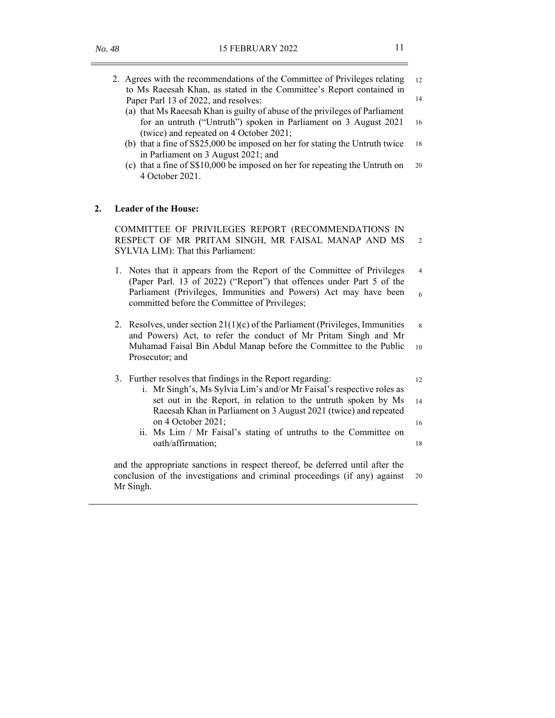$\equiv$ 

—<br>—

12

14

16

18

20

2

4

6

8

10

12

14

16

18

20

|    | 2. Agrees with the recommendations of the Committee of Privileges relating<br>to Ms Raeesah Khan, as stated in the Committee's Report contained in<br>Paper Parl 13 of 2022, and resolves:<br>(a) that Ms Raeesah Khan is guilty of abuse of the privileges of Parliament<br>for an untruth ("Untruth") spoken in Parliament on 3 August 2021<br>(twice) and repeated on 4 October 2021;<br>(b) that a fine of S\$25,000 be imposed on her for stating the Untruth twice<br>in Parliament on 3 August 2021; and<br>(c) that a fine of S\$10,000 be imposed on her for repeating the Untruth on<br>4 October 2021. |  |  |  |  |  |
|----|-------------------------------------------------------------------------------------------------------------------------------------------------------------------------------------------------------------------------------------------------------------------------------------------------------------------------------------------------------------------------------------------------------------------------------------------------------------------------------------------------------------------------------------------------------------------------------------------------------------------|--|--|--|--|--|
| 2. | <b>Leader of the House:</b>                                                                                                                                                                                                                                                                                                                                                                                                                                                                                                                                                                                       |  |  |  |  |  |
|    | COMMITTEE OF PRIVILEGES REPORT (RECOMMENDATIONS IN<br>RESPECT OF MR PRITAM SINGH, MR FAISAL MANAP AND MS<br>SYLVIA LIM): That this Parliament:                                                                                                                                                                                                                                                                                                                                                                                                                                                                    |  |  |  |  |  |
|    | 1. Notes that it appears from the Report of the Committee of Privileges<br>(Paper Parl. 13 of 2022) ("Report") that offences under Part 5 of the<br>Parliament (Privileges, Immunities and Powers) Act may have been<br>committed before the Committee of Privileges;                                                                                                                                                                                                                                                                                                                                             |  |  |  |  |  |
|    | 2. Resolves, under section $21(1)(c)$ of the Parliament (Privileges, Immunities<br>and Powers) Act, to refer the conduct of Mr Pritam Singh and Mr<br>Muhamad Faisal Bin Abdul Manap before the Committee to the Public<br>Prosecutor; and                                                                                                                                                                                                                                                                                                                                                                        |  |  |  |  |  |
|    | 3. Further resolves that findings in the Report regarding:<br>i. Mr Singh's, Ms Sylvia Lim's and/or Mr Faisal's respective roles as<br>set out in the Report, in relation to the untruth spoken by Ms<br>Raeesah Khan in Parliament on 3 August 2021 (twice) and repeated<br>on 4 October 2021;                                                                                                                                                                                                                                                                                                                   |  |  |  |  |  |
|    | ii. Ms Lim / Mr Faisal's stating of untruths to the Committee on<br>oath/affirmation;                                                                                                                                                                                                                                                                                                                                                                                                                                                                                                                             |  |  |  |  |  |
|    | and the appropriate sanctions in respect thereof, be deferred until after the<br>conclusion of the investigations and criminal proceedings (if any) against<br>Mr Singh.                                                                                                                                                                                                                                                                                                                                                                                                                                          |  |  |  |  |  |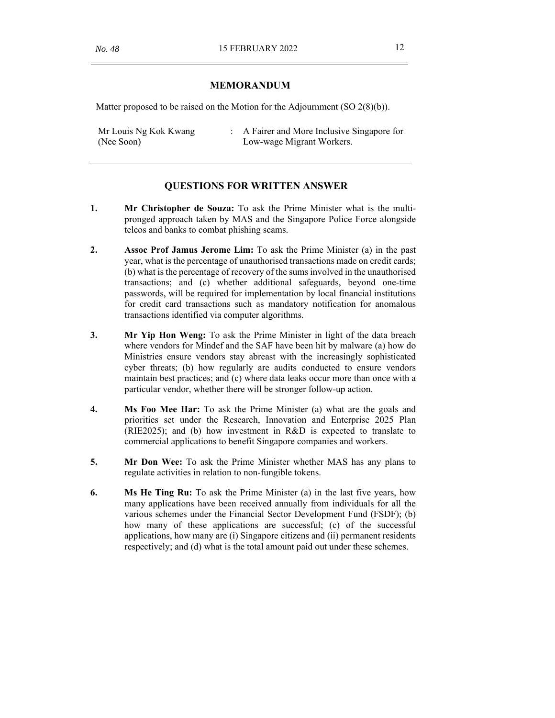## **MEMORANDUM**

Matter proposed to be raised on the Motion for the Adjournment  $(SO 2(8)(b))$ .

Mr Louis Ng Kok Kwang (Nee Soon) : A Fairer and More Inclusive Singapore for Low-wage Migrant Workers.

#### **QUESTIONS FOR WRITTEN ANSWER**

- **1. Mr Christopher de Souza:** To ask the Prime Minister what is the multipronged approach taken by MAS and the Singapore Police Force alongside telcos and banks to combat phishing scams.
- **2. Assoc Prof Jamus Jerome Lim:** To ask the Prime Minister (a) in the past year, what is the percentage of unauthorised transactions made on credit cards; (b) what is the percentage of recovery of the sums involved in the unauthorised transactions; and (c) whether additional safeguards, beyond one-time passwords, will be required for implementation by local financial institutions for credit card transactions such as mandatory notification for anomalous transactions identified via computer algorithms.
- **3. Mr Yip Hon Weng:** To ask the Prime Minister in light of the data breach where vendors for Mindef and the SAF have been hit by malware (a) how do Ministries ensure vendors stay abreast with the increasingly sophisticated cyber threats; (b) how regularly are audits conducted to ensure vendors maintain best practices; and (c) where data leaks occur more than once with a particular vendor, whether there will be stronger follow-up action.
- **4. Ms Foo Mee Har:** To ask the Prime Minister (a) what are the goals and priorities set under the Research, Innovation and Enterprise 2025 Plan (RIE2025); and (b) how investment in R&D is expected to translate to commercial applications to benefit Singapore companies and workers.
- **5. Mr Don Wee:** To ask the Prime Minister whether MAS has any plans to regulate activities in relation to non-fungible tokens.
- **6. Ms He Ting Ru:** To ask the Prime Minister (a) in the last five years, how many applications have been received annually from individuals for all the various schemes under the Financial Sector Development Fund (FSDF); (b) how many of these applications are successful; (c) of the successful applications, how many are (i) Singapore citizens and (ii) permanent residents respectively; and (d) what is the total amount paid out under these schemes.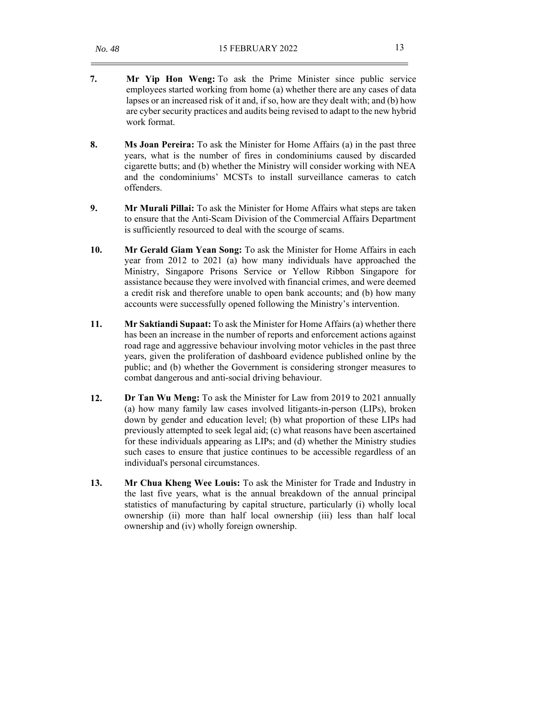- **7. Mr Yip Hon Weng:** To ask the Prime Minister since public service employees started working from home (a) whether there are any cases of data lapses or an increased risk of it and, if so, how are they dealt with; and (b) how are cyber security practices and audits being revised to adapt to the new hybrid work format.
- **8. Ms Joan Pereira:** To ask the Minister for Home Affairs (a) in the past three years, what is the number of fires in condominiums caused by discarded cigarette butts; and (b) whether the Ministry will consider working with NEA and the condominiums' MCSTs to install surveillance cameras to catch offenders.
- **9. Mr Murali Pillai:** To ask the Minister for Home Affairs what steps are taken to ensure that the Anti-Scam Division of the Commercial Affairs Department is sufficiently resourced to deal with the scourge of scams.
- **10. Mr Gerald Giam Yean Song:** To ask the Minister for Home Affairs in each year from 2012 to 2021 (a) how many individuals have approached the Ministry, Singapore Prisons Service or Yellow Ribbon Singapore for assistance because they were involved with financial crimes, and were deemed a credit risk and therefore unable to open bank accounts; and (b) how many accounts were successfully opened following the Ministry's intervention.
- **11. Mr Saktiandi Supaat:** To ask the Minister for Home Affairs (a) whether there has been an increase in the number of reports and enforcement actions against road rage and aggressive behaviour involving motor vehicles in the past three years, given the proliferation of dashboard evidence published online by the public; and (b) whether the Government is considering stronger measures to combat dangerous and anti-social driving behaviour.
- **12. Dr Tan Wu Meng:** To ask the Minister for Law from 2019 to 2021 annually (a) how many family law cases involved litigants-in-person (LIPs), broken down by gender and education level; (b) what proportion of these LIPs had previously attempted to seek legal aid; (c) what reasons have been ascertained for these individuals appearing as LIPs; and (d) whether the Ministry studies such cases to ensure that justice continues to be accessible regardless of an individual's personal circumstances.
- **13. Mr Chua Kheng Wee Louis:** To ask the Minister for Trade and Industry in the last five years, what is the annual breakdown of the annual principal statistics of manufacturing by capital structure, particularly (i) wholly local ownership (ii) more than half local ownership (iii) less than half local ownership and (iv) wholly foreign ownership.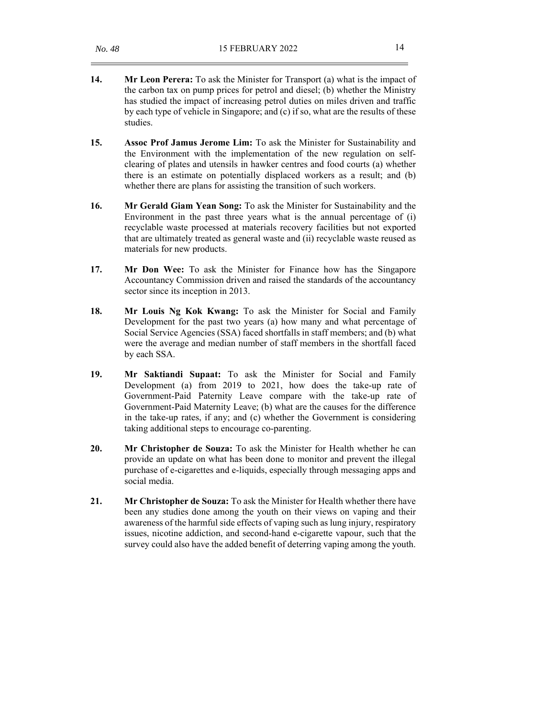- **14. Mr Leon Perera:** To ask the Minister for Transport (a) what is the impact of the carbon tax on pump prices for petrol and diesel; (b) whether the Ministry has studied the impact of increasing petrol duties on miles driven and traffic by each type of vehicle in Singapore; and (c) if so, what are the results of these studies.
- **15. Assoc Prof Jamus Jerome Lim:** To ask the Minister for Sustainability and the Environment with the implementation of the new regulation on selfclearing of plates and utensils in hawker centres and food courts (a) whether there is an estimate on potentially displaced workers as a result; and (b) whether there are plans for assisting the transition of such workers.
- **16. Mr Gerald Giam Yean Song:** To ask the Minister for Sustainability and the Environment in the past three years what is the annual percentage of (i) recyclable waste processed at materials recovery facilities but not exported that are ultimately treated as general waste and (ii) recyclable waste reused as materials for new products.
- **17. Mr Don Wee:** To ask the Minister for Finance how has the Singapore Accountancy Commission driven and raised the standards of the accountancy sector since its inception in 2013.
- **18. Mr Louis Ng Kok Kwang:** To ask the Minister for Social and Family Development for the past two years (a) how many and what percentage of Social Service Agencies (SSA) faced shortfalls in staff members; and (b) what were the average and median number of staff members in the shortfall faced by each SSA.
- **19. Mr Saktiandi Supaat:** To ask the Minister for Social and Family Development (a) from 2019 to 2021, how does the take-up rate of Government-Paid Paternity Leave compare with the take-up rate of Government-Paid Maternity Leave; (b) what are the causes for the difference in the take-up rates, if any; and (c) whether the Government is considering taking additional steps to encourage co-parenting.
- **20. Mr Christopher de Souza:** To ask the Minister for Health whether he can provide an update on what has been done to monitor and prevent the illegal purchase of e-cigarettes and e-liquids, especially through messaging apps and social media.
- **21. Mr Christopher de Souza:** To ask the Minister for Health whether there have been any studies done among the youth on their views on vaping and their awareness of the harmful side effects of vaping such as lung injury, respiratory issues, nicotine addiction, and second-hand e-cigarette vapour, such that the survey could also have the added benefit of deterring vaping among the youth.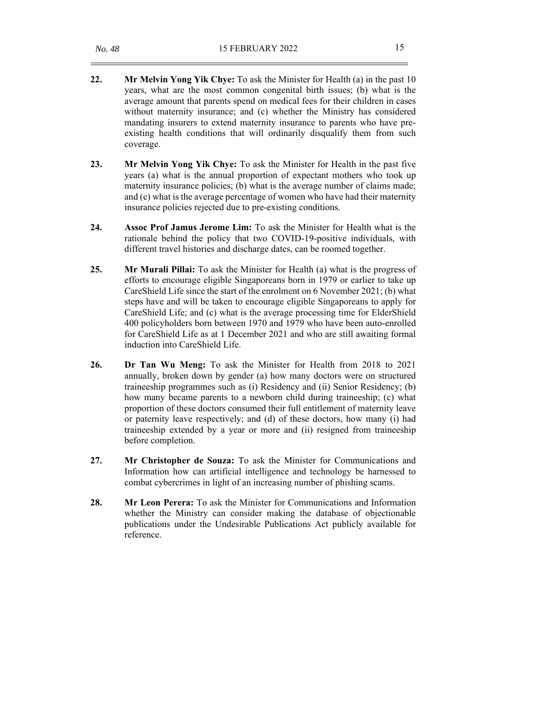- **22. Mr Melvin Yong Yik Chye:** To ask the Minister for Health (a) in the past 10 years, what are the most common congenital birth issues; (b) what is the average amount that parents spend on medical fees for their children in cases without maternity insurance; and (c) whether the Ministry has considered mandating insurers to extend maternity insurance to parents who have preexisting health conditions that will ordinarily disqualify them from such coverage.
- **23. Mr Melvin Yong Yik Chye:** To ask the Minister for Health in the past five years (a) what is the annual proportion of expectant mothers who took up maternity insurance policies; (b) what is the average number of claims made; and (c) what is the average percentage of women who have had their maternity insurance policies rejected due to pre-existing conditions.
- **24. Assoc Prof Jamus Jerome Lim:** To ask the Minister for Health what is the rationale behind the policy that two COVID-19-positive individuals, with different travel histories and discharge dates, can be roomed together.
- **25. Mr Murali Pillai:** To ask the Minister for Health (a) what is the progress of efforts to encourage eligible Singaporeans born in 1979 or earlier to take up CareShield Life since the start of the enrolment on 6 November 2021; (b) what steps have and will be taken to encourage eligible Singaporeans to apply for CareShield Life; and (c) what is the average processing time for ElderShield 400 policyholders born between 1970 and 1979 who have been auto-enrolled for CareShield Life as at 1 December 2021 and who are still awaiting formal induction into CareShield Life.
- **26. Dr Tan Wu Meng:** To ask the Minister for Health from 2018 to 2021 annually, broken down by gender (a) how many doctors were on structured traineeship programmes such as (i) Residency and (ii) Senior Residency; (b) how many became parents to a newborn child during traineeship; (c) what proportion of these doctors consumed their full entitlement of maternity leave or paternity leave respectively; and (d) of these doctors, how many (i) had traineeship extended by a year or more and (ii) resigned from traineeship before completion.
- **27. Mr Christopher de Souza:** To ask the Minister for Communications and Information how can artificial intelligence and technology be harnessed to combat cybercrimes in light of an increasing number of phishing scams.
- **28. Mr Leon Perera:** To ask the Minister for Communications and Information whether the Ministry can consider making the database of objectionable publications under the Undesirable Publications Act publicly available for reference.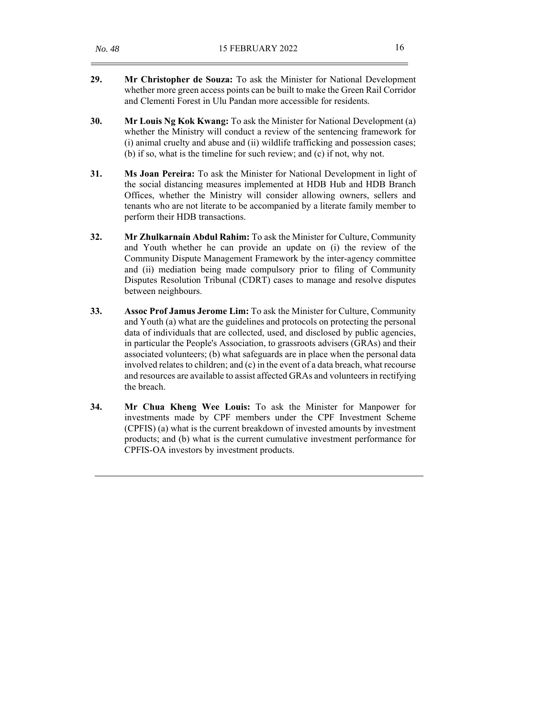- **29. Mr Christopher de Souza:** To ask the Minister for National Development whether more green access points can be built to make the Green Rail Corridor and Clementi Forest in Ulu Pandan more accessible for residents.
- **30. Mr Louis Ng Kok Kwang:** To ask the Minister for National Development (a) whether the Ministry will conduct a review of the sentencing framework for (i) animal cruelty and abuse and (ii) wildlife trafficking and possession cases; (b) if so, what is the timeline for such review; and (c) if not, why not.
- **31. Ms Joan Pereira:** To ask the Minister for National Development in light of the social distancing measures implemented at HDB Hub and HDB Branch Offices, whether the Ministry will consider allowing owners, sellers and tenants who are not literate to be accompanied by a literate family member to perform their HDB transactions.
- **32. Mr Zhulkarnain Abdul Rahim:** To ask the Minister for Culture, Community and Youth whether he can provide an update on (i) the review of the Community Dispute Management Framework by the inter-agency committee and (ii) mediation being made compulsory prior to filing of Community Disputes Resolution Tribunal (CDRT) cases to manage and resolve disputes between neighbours.
- **33. Assoc Prof Jamus Jerome Lim:** To ask the Minister for Culture, Community and Youth (a) what are the guidelines and protocols on protecting the personal data of individuals that are collected, used, and disclosed by public agencies, in particular the People's Association, to grassroots advisers (GRAs) and their associated volunteers; (b) what safeguards are in place when the personal data involved relates to children; and (c) in the event of a data breach, what recourse and resources are available to assist affected GRAs and volunteers in rectifying the breach.
- **34. Mr Chua Kheng Wee Louis:** To ask the Minister for Manpower for investments made by CPF members under the CPF Investment Scheme (CPFIS) (a) what is the current breakdown of invested amounts by investment products; and (b) what is the current cumulative investment performance for CPFIS-OA investors by investment products.